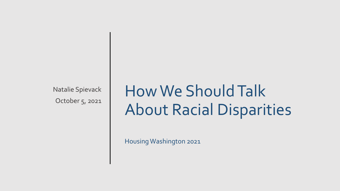Natalie Spievack October 5, 2021

## How We Should Talk About Racial Disparities

Housing Washington 2021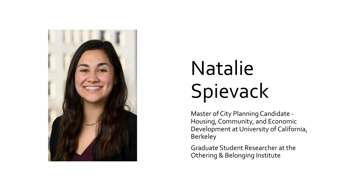

# Natalie Spievack

Master of City Planning Candidate - Housing, Community, and Economic Development at University of California, **Berkeley** 

Graduate Student Researcher at the Othering & Belonging Institute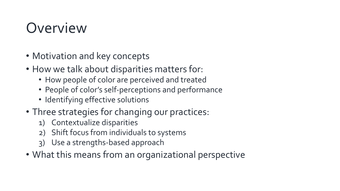## Overview

- Motivation and key concepts
- How we talk about disparities matters for:
	- How people of color are perceived and treated
	- People of color's self-perceptions and performance
	- Identifying effective solutions
- Three strategies for changing our practices:
	- 1) Contextualize disparities
	- 2) Shift focus from individuals to systems
	- 3) Use a strengths-based approach
- What this means from an organizational perspective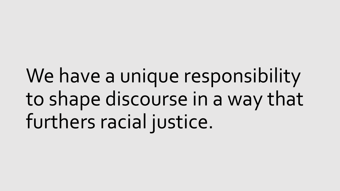We have a unique responsibility to shape discourse in a way that furthers racial justice.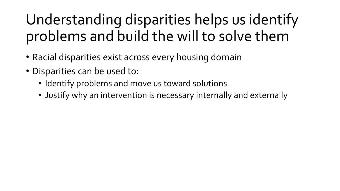## Understanding disparities helps us identify problems and build the will to solve them

- Racial disparities exist across every housing domain
- Disparities can be used to:
	- Identify problems and move us toward solutions
	- Justify why an intervention is necessary internally and externally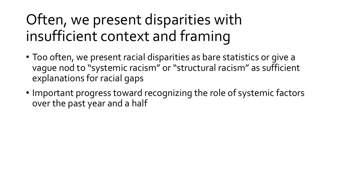## Often, we present disparities with insufficient context and framing

- Too often, we present racial disparities as bare statistics or give a vague nod to "systemic racism" or "structural racism" as sufficient explanations for racial gaps
- Important progress toward recognizing the role of systemic factors over the past year and a half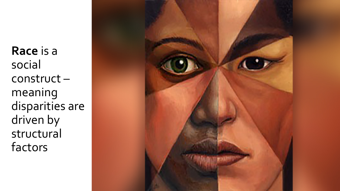**Race** is a social construct – meaning disparities are driven by structural factors

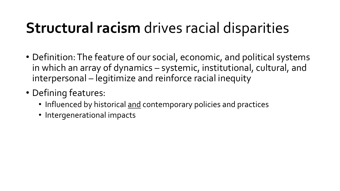## **Structural racism** drives racial disparities

- Definition: The feature of our social, economic, and political systems in which an array of dynamics – systemic, institutional, cultural, and interpersonal – legitimize and reinforce racial inequity
- Defining features:
	- Influenced by historical and contemporary policies and practices
	- Intergenerational impacts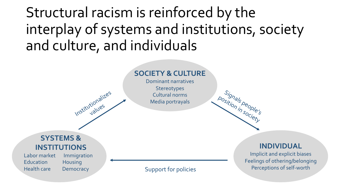Structural racism is reinforced by the interplay of systems and institutions, society and culture, and individuals

#### **SOCIETY & CULTURE**

Dominant narratives **Stereotypes** Cultural norms Media portrayals

#### **SYSTEMS & INSTITUTIONS**

Education Housing Health care Democracy

Labor market Immigration

Institutionalizes

#### **INDIVIDUAL**

Signals<br>sition in people's

position in society

Implicit and explicit biases Feelings of othering/belonging Perceptions of self-worth Support for policies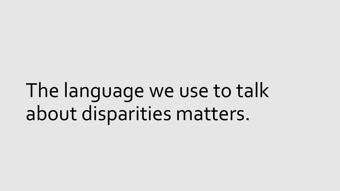The language we use to talk about disparities matters.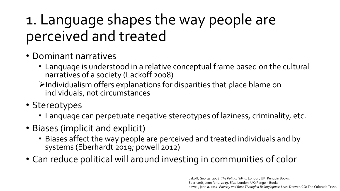## 1. Language shapes the way people are perceived and treated

- Dominant narratives
	- Language is understood in a relative conceptual frame based on the cultural narratives of a society (Lackoff 2008)
	- $\triangleright$ Individualism offers explanations for disparities that place blame on individuals, not circumstances
- Stereotypes
	- Language can perpetuate negative stereotypes of laziness, criminality, etc.
- Biases (implicit and explicit)
	- Biases affect the way people are perceived and treated individuals and by systems (Eberhardt 2019; powell 2012)
- Can reduce political will around investing in communities of color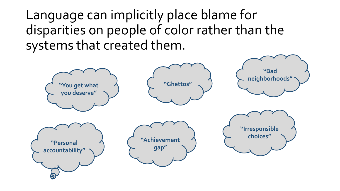Language can implicitly place blame for disparities on people of color rather than the systems that created them.

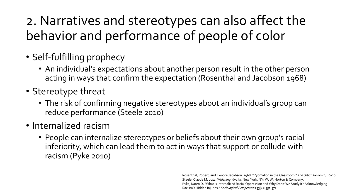## 2. Narratives and stereotypes can also affect the behavior and performance of people of color

- Self-fulfilling prophecy
	- An individual's expectations about another person result in the other person acting in ways that confirm the expectation (Rosenthal and Jacobson 1968)
- Stereotype threat
	- The risk of confirming negative stereotypes about an individual's group can reduce performance (Steele 2010)
- Internalized racism
	- People can internalize stereotypes or beliefs about their own group's racial inferiority, which can lead them to act in ways that support or collude with racism (Pyke 2010)

Rosenthal, Robert, and Lenore Jacobson. 1968. "Pygmalion in the Classroom." *The Urban Review* 3: 16-20. Steele, Claude M. 2011. *Whistling Vivaldi.* New York, NY: W. W. Norton & Company. Pyke, Karen D. "What is Internalized Racial Oppression and Why Don't We Study It? Acknowledging Racism's Hidden Injuries." *Sociological Perspectives* 53(4): 551-572.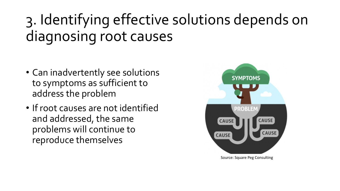## 3. Identifying effective solutions depends on diagnosing root causes

- Can inadvertently see solutions to symptoms as sufficient to address the problem
- If root causes are not identified and addressed, the same problems will continue to reproduce themselves



Source: Square Peg Consulting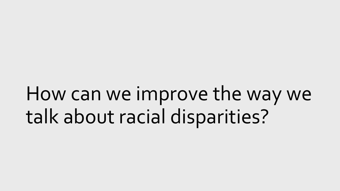How can we improve the way we talk about racial disparities?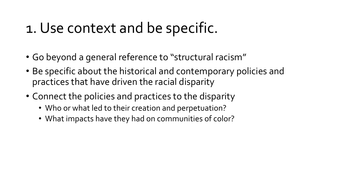## 1. Use context and be specific.

- Go beyond a general reference to "structural racism"
- Be specific about the historical and contemporary policies and practices that have driven the racial disparity
- Connect the policies and practices to the disparity
	- Who or what led to their creation and perpetuation?
	- What impacts have they had on communities of color?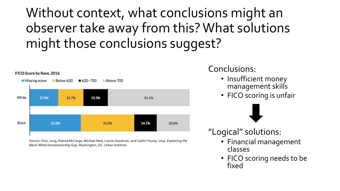## Without context, what conclusions might an observer take away from this? What solutions might those conclusions suggest?



Source: Choi, Jung, Alanna McCargo, Michael Neal, Laurie Goodman, and Caitlin Young. 2019. *Explaining the Black-White Homeownership Gap.* Washington, DC: Urban Institute.

#### Conclusions:

- Insufficient money management skills
- FICO scoring is unfair



- "Logical" solutions:
	- Financial management classes
	- FICO scoring needs to be fixed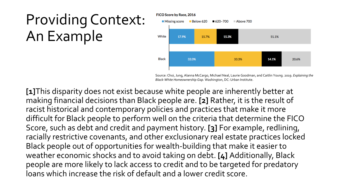## Providing Context: An Example



Source: Choi, Jung, Alanna McCargo, Michael Neal, Laurie Goodman, and Caitlin Young. 2019. *Explaining the Black-White Homeownership Gap.* Washington, DC: Urban Institute.

**[1]**This disparity does not exist because white people are inherently better at making financial decisions than Black people are. **[2]** Rather, it is the result of racist historical and contemporary policies and practices that make it more difficult for Black people to perform well on the criteria that determine the FICO Score, such as debt and credit and payment history. **[3]** For example, redlining, racially restrictive covenants, and other exclusionary real estate practices locked Black people out of opportunities for wealth-building that make it easier to weather economic shocks and to avoid taking on debt. **[4]** Additionally, Black people are more likely to lack access to credit and to be targeted for predatory loans which increase the risk of default and a lower credit score.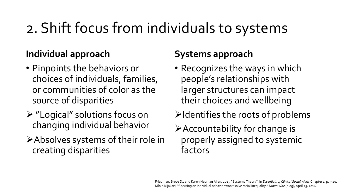## 2. Shift focus from individuals to systems

### **Individual approach**

- Pinpoints the behaviors or choices of individuals, families, or communities of color as the source of disparities
- Ø "Logical" solutions focus on changing individual behavior
- ØAbsolves systems of their role in creating disparities

#### **Systems approach**

- Recognizes the ways in which people's relationships with larger structures can impact their choices and wellbeing
- $\blacktriangleright$ Identifies the roots of problems
- ØAccountability for change is properly assigned to systemic factors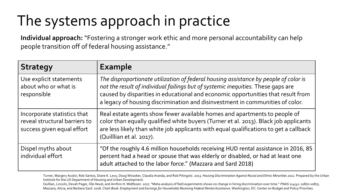## The systems approach in practice

**Individual approach:** "Fostering a stronger work ethic and more personal accountability can help people transition off of federal housing assistance."

| <b>Strategy</b>                                                                            | <b>Example</b>                                                                                                                                                                                                                                                                                                                                |
|--------------------------------------------------------------------------------------------|-----------------------------------------------------------------------------------------------------------------------------------------------------------------------------------------------------------------------------------------------------------------------------------------------------------------------------------------------|
| Use explicit statements<br>about who or what is<br>responsible                             | The disproportionate utilization of federal housing assistance by people of color is<br>not the result of individual failings but of systemic inequities. These gaps are<br>caused by disparities in educational and economic opportunities that result from<br>a legacy of housing discrimination and disinvestment in communities of color. |
| Incorporate statistics that<br>reveal structural barriers to<br>success given equal effort | Real estate agents show fewer available homes and apartments to people of<br>color than equally qualified white buyers (Turner et al. 2013). Black job applicants<br>are less likely than white job applicants with equal qualifications to get a callback<br>(Quillian et al. 2017).                                                         |
| Dispel myths about<br>individual effort                                                    | "Of the roughly 4.6 million households receiving HUD rental assistance in 2016, 85<br>percent had a head or spouse that was elderly or disabled, or had at least one<br>adult attached to the labor force." (Mazzara and Sard 2018)                                                                                                           |

Turner, Margery Austin, Rob Santos, Diane K. Levy, Doug Wissoker, Claudia Aranda, and Rob Pitingolo. 2013. *Housing Discrimination Against Racial and Ethnic Minorities 2012.* Prepared by the Urban Institute for the US Department of Housing and Urban Development.

Quillian, Lincoln, Devah Pager, Ole Hexel, and Arnfinn H. Midtboen. 2017. "Meta-analysis of field experiments shows no change in hiring discrimination over time." *PNAS* 114(41: 10870-10875. Mazzara, Alicia, and Barbara Sard. 2018. Chart Book: Employment and Earnings for Households Receiving Federal Rental Assistance. Washington, DC: Center on Budget and Policy Priorities.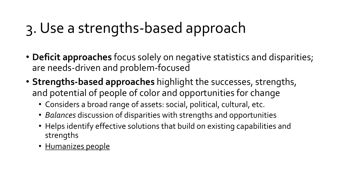## 3. Use a strengths-based approach

- **Deficit approaches** focus solely on negative statistics and disparities; are needs-driven and problem-focused
- **Strengths-based approaches** highlight the successes, strengths, and potential of people of color and opportunities for change
	- Considers a broad range of assets: social, political, cultural, etc.
	- *Balances* discussion of disparities with strengths and opportunities
	- Helps identify effective solutions that build on existing capabilities and strengths
	- Humanizes people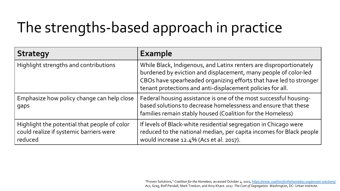## The strengths-based approach in practice

| <b>Strategy</b>                                                                                    | <b>Example</b>                                                                                                                                                                                                                                                            |
|----------------------------------------------------------------------------------------------------|---------------------------------------------------------------------------------------------------------------------------------------------------------------------------------------------------------------------------------------------------------------------------|
| Highlight strengths and contributions                                                              | While Black, Indigenous, and Latinx renters are disproportionately<br>burdened by eviction and displacement, many people of color-led<br>CBOs have spearheaded organizing efforts that have led to stronger<br>tenant protections and anti-displacement policies for all. |
| Emphasize how policy change can help close<br>gaps                                                 | Federal housing assistance is one of the most successful housing-<br>based solutions to decrease homelessness and ensure that these<br>families remain stably housed (Coalition for the Homeless)                                                                         |
| Highlight the potential that people of color<br>could realize if systemic barriers were<br>reduced | If levels of Black-white residential segregation in Chicago were<br>reduced to the national median, per capita incomes for Black people<br>would increase 12.4% (Acs et al. 2017).                                                                                        |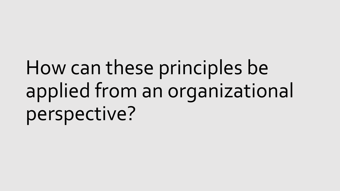# How can these principles be applied from an organizational perspective?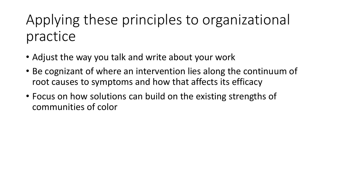## Applying these principles to organizational practice

- Adjust the way you talk and write about your work
- Be cognizant of where an intervention lies along the continuum of root causes to symptoms and how that affects its efficacy
- Focus on how solutions can build on the existing strengths of communities of color